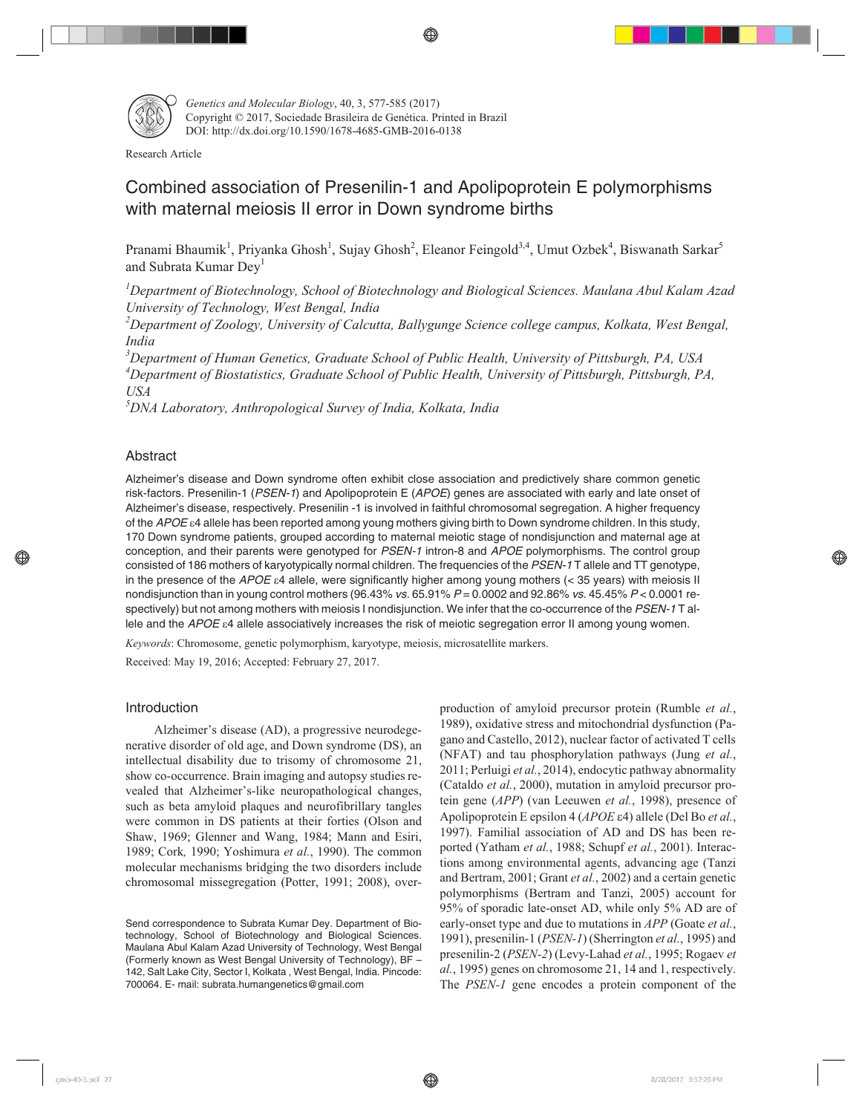

*Genetics and Molecular Biology*, 40, 3, 577-585 (2017) Copyright © 2017, Sociedade Brasileira de Genética. Printed in Brazil DOI: http://dx.doi.org/10.1590/1678-4685-GMB-2016-0138

Research Article

# Combined association of Presenilin-1 and Apolipoprotein E polymorphisms with maternal meiosis II error in Down syndrome births

Pranami Bhaumik<sup>1</sup>, Priyanka Ghosh<sup>1</sup>, Sujay Ghosh<sup>2</sup>, Eleanor Feingold<sup>3,4</sup>, Umut Ozbek<sup>4</sup>, Biswanath Sarkar<sup>5</sup> and Subrata Kumar Dey<sup>1</sup>

*1 Department of Biotechnology, School of Biotechnology and Biological Sciences. Maulana Abul Kalam Azad University of Technology, West Bengal, India*

*2 Department of Zoology, University of Calcutta, Ballygunge Science college campus, Kolkata, West Bengal, India*

*3 Department of Human Genetics, Graduate School of Public Health, University of Pittsburgh, PA, USA 4 Department of Biostatistics, Graduate School of Public Health, University of Pittsburgh, Pittsburgh, PA, USA*

*5 DNA Laboratory, Anthropological Survey of India, Kolkata, India*

# Abstract

Alzheimer's disease and Down syndrome often exhibit close association and predictively share common genetic risk-factors. Presenilin-1 (PSEN-1) and Apolipoprotein E (APOE) genes are associated with early and late onset of Alzheimer's disease, respectively. Presenilin -1 is involved in faithful chromosomal segregation. A higher frequency of the APOE  $\varepsilon$ 4 allele has been reported among young mothers giving birth to Down syndrome children. In this study, 170 Down syndrome patients, grouped according to maternal meiotic stage of nondisjunction and maternal age at conception, and their parents were genotyped for PSEN-1 intron-8 and APOE polymorphisms. The control group consisted of 186 mothers of karyotypically normal children. The frequencies of the PSEN-1T allele and TT genotype, in the presence of the APOE  $\varepsilon$ 4 allele, were significantly higher among young mothers (< 35 years) with meiosis II nondisjunction than in young control mothers (96.43% vs. 65.91%  $P = 0.0002$  and 92.86% vs. 45.45%  $P < 0.0001$  respectively) but not among mothers with meiosis I nondisjunction. We infer that the co-occurrence of the PSEN-1 T allele and the APOE  $\varepsilon$ 4 allele associatively increases the risk of meiotic segregation error II among young women.

*Keywords*: Chromosome, genetic polymorphism, karyotype, meiosis, microsatellite markers.

Received: May 19, 2016; Accepted: February 27, 2017.

# Introduction

Alzheimer's disease (AD), a progressive neurodegenerative disorder of old age, and Down syndrome (DS), an intellectual disability due to trisomy of chromosome 21, show co-occurrence. Brain imaging and autopsy studies revealed that Alzheimer's-like neuropathological changes, such as beta amyloid plaques and neurofibrillary tangles were common in DS patients at their forties (Olson and Shaw, 1969; Glenner and Wang, 1984; Mann and Esiri, 1989; Cork*,* 1990; Yoshimura *et al.*, 1990). The common molecular mechanisms bridging the two disorders include chromosomal missegregation (Potter, 1991; 2008), overproduction of amyloid precursor protein (Rumble *et al.*, 1989), oxidative stress and mitochondrial dysfunction (Pagano and Castello, 2012), nuclear factor of activated T cells (NFAT) and tau phosphorylation pathways (Jung *et al.*, 2011; Perluigi *et al.*, 2014), endocytic pathway abnormality (Cataldo *et al.*, 2000), mutation in amyloid precursor protein gene (*APP*) (van Leeuwen *et al.*, 1998), presence of Apolipoprotein E epsilon 4 (*APOE*  $\varepsilon$ 4) allele (Del Bo *et al.*, 1997). Familial association of AD and DS has been reported (Yatham *et al.*, 1988; Schupf *et al.*, 2001). Interactions among environmental agents, advancing age (Tanzi and Bertram, 2001; Grant *et al.*, 2002) and a certain genetic polymorphisms (Bertram and Tanzi, 2005) account for 95% of sporadic late-onset AD, while only 5% AD are of early-onset type and due to mutations in *APP* (Goate *et al.*, 1991), presenilin-1 (*PSEN-1*) (Sherrington *et al.*, 1995) and presenilin-2 (*PSEN-2*) (Levy-Lahad *et al.*, 1995; Rogaev *et al.*, 1995) genes on chromosome 21, 14 and 1, respectively. The *PSEN-1* gene encodes a protein component of the

Send correspondence to Subrata Kumar Dey. Department of Biotechnology, School of Biotechnology and Biological Sciences. Maulana Abul Kalam Azad University of Technology, West Bengal (Formerly known as West Bengal University of Technology), BF – 142, Salt Lake City, Sector I, Kolkata , West Bengal, India. Pincode: 700064. E- mail: subrata.humangenetics@gmail.com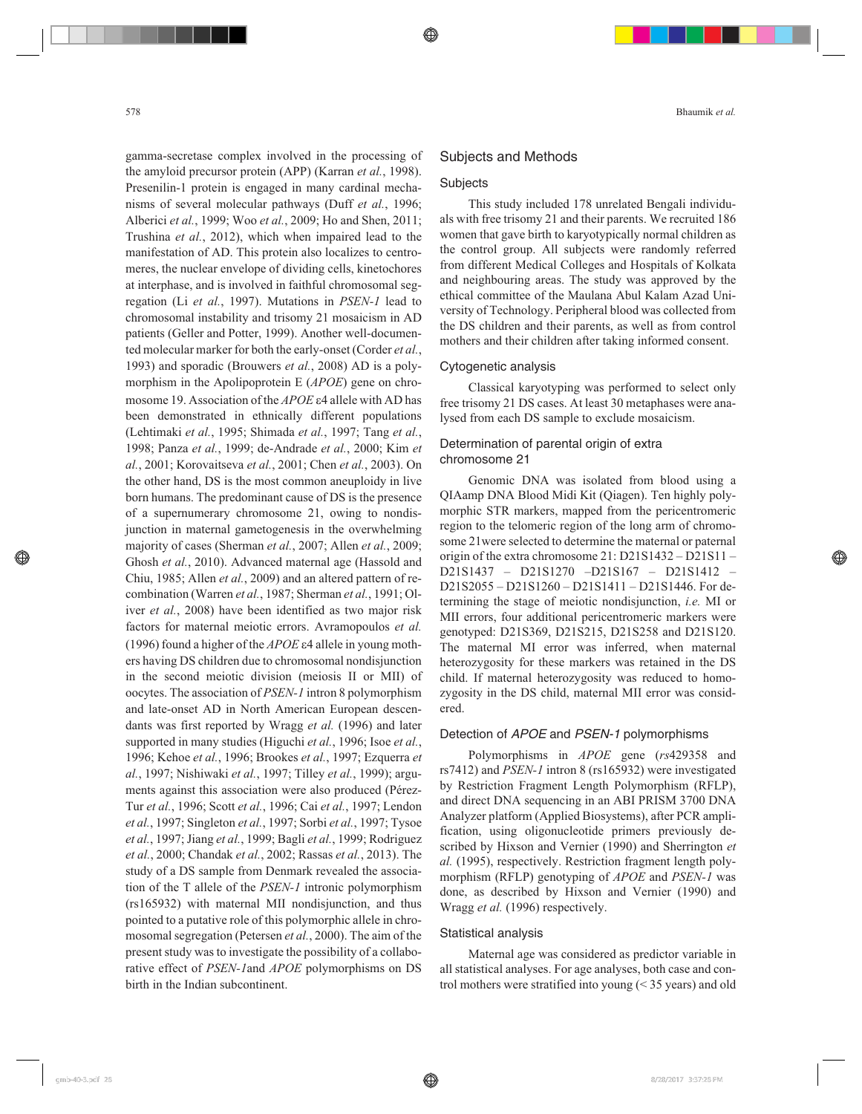gamma-secretase complex involved in the processing of the amyloid precursor protein (APP) (Karran *et al.*, 1998). Presenilin-1 protein is engaged in many cardinal mechanisms of several molecular pathways (Duff *et al.*, 1996; Alberici *et al.*, 1999; Woo *et al.*, 2009; Ho and Shen, 2011; Trushina *et al.*, 2012), which when impaired lead to the manifestation of AD. This protein also localizes to centromeres, the nuclear envelope of dividing cells, kinetochores at interphase, and is involved in faithful chromosomal segregation (Li *et al.*, 1997). Mutations in *PSEN-1* lead to chromosomal instability and trisomy 21 mosaicism in AD patients (Geller and Potter, 1999). Another well-documented molecular marker for both the early-onset (Corder *et al.*, 1993) and sporadic (Brouwers *et al.*, 2008) AD is a polymorphism in the Apolipoprotein E (*APOE*) gene on chromosome 19. Association of the *APOE*  $\varepsilon$ 4 allele with AD has been demonstrated in ethnically different populations (Lehtimaki *et al.*, 1995; Shimada *et al.*, 1997; Tang *et al.*, 1998; Panza *et al.*, 1999; de-Andrade *et al.*, 2000; Kim *et al.*, 2001; Korovaitseva *et al.*, 2001; Chen *et al.*, 2003). On the other hand, DS is the most common aneuploidy in live born humans. The predominant cause of DS is the presence of a supernumerary chromosome 21, owing to nondisjunction in maternal gametogenesis in the overwhelming majority of cases (Sherman *et al.*, 2007; Allen *et al.*, 2009; Ghosh *et al.*, 2010). Advanced maternal age (Hassold and Chiu, 1985; Allen *et al.*, 2009) and an altered pattern of recombination (Warren *et al.*, 1987; Sherman *et al.*, 1991; Oliver *et al.*, 2008) have been identified as two major risk factors for maternal meiotic errors. Avramopoulos *et al.* (1996) found a higher of the  $APOE$   $\varepsilon$ 4 allele in young mothers having DS children due to chromosomal nondisjunction in the second meiotic division (meiosis II or MII) of oocytes. The association of *PSEN-1* intron 8 polymorphism and late-onset AD in North American European descendants was first reported by Wragg *et al.* (1996) and later supported in many studies (Higuchi *et al.*, 1996; Isoe *et al.*, 1996; Kehoe *et al.*, 1996; Brookes *et al.*, 1997; Ezquerra *et al.*, 1997; Nishiwaki *et al.*, 1997; Tilley *et al.*, 1999); arguments against this association were also produced (Pérez-Tur *et al.*, 1996; Scott *et al.*, 1996; Cai *et al.*, 1997; Lendon *et al.*, 1997; Singleton *et al.*, 1997; Sorbi *et al.*, 1997; Tysoe *et al.*, 1997; Jiang *et al.*, 1999; Bagli *et al.*, 1999; Rodriguez *et al.*, 2000; Chandak *et al.*, 2002; Rassas *et al.*, 2013). The study of a DS sample from Denmark revealed the association of the T allele of the *PSEN-1* intronic polymorphism (rs165932) with maternal MII nondisjunction, and thus pointed to a putative role of this polymorphic allele in chromosomal segregation (Petersen *et al.*, 2000). The aim of the present study was to investigate the possibility of a collaborative effect of *PSEN-1*and *APOE* polymorphisms on DS birth in the Indian subcontinent.

#### Subjects and Methods

## **Subjects**

This study included 178 unrelated Bengali individuals with free trisomy 21 and their parents. We recruited 186 women that gave birth to karyotypically normal children as the control group. All subjects were randomly referred from different Medical Colleges and Hospitals of Kolkata and neighbouring areas. The study was approved by the ethical committee of the Maulana Abul Kalam Azad University of Technology. Peripheral blood was collected from the DS children and their parents, as well as from control mothers and their children after taking informed consent.

#### Cytogenetic analysis

Classical karyotyping was performed to select only free trisomy 21 DS cases. At least 30 metaphases were analysed from each DS sample to exclude mosaicism.

# Determination of parental origin of extra chromosome 21

Genomic DNA was isolated from blood using a QIAamp DNA Blood Midi Kit (Qiagen). Ten highly polymorphic STR markers, mapped from the pericentromeric region to the telomeric region of the long arm of chromosome 21were selected to determine the maternal or paternal origin of the extra chromosome 21: D21S1432 – D21S11 – D21S1437 – D21S1270 –D21S167 – D21S1412 – D21S2055 – D21S1260 – D21S1411 – D21S1446. For determining the stage of meiotic nondisjunction, *i.e.* MI or MII errors, four additional pericentromeric markers were genotyped: D21S369, D21S215, D21S258 and D21S120. The maternal MI error was inferred, when maternal heterozygosity for these markers was retained in the DS child. If maternal heterozygosity was reduced to homozygosity in the DS child, maternal MII error was considered.

#### Detection of APOE and PSEN-1 polymorphisms

Polymorphisms in *APOE* gene (*rs*429358 and rs7412) and *PSEN-1* intron 8 (rs165932) were investigated by Restriction Fragment Length Polymorphism (RFLP), and direct DNA sequencing in an ABI PRISM 3700 DNA Analyzer platform (Applied Biosystems), after PCR amplification, using oligonucleotide primers previously described by Hixson and Vernier (1990) and Sherrington *et al.* (1995), respectively. Restriction fragment length polymorphism (RFLP) genotyping of *APOE* and *PSEN-1* was done, as described by Hixson and Vernier (1990) and Wragg *et al.* (1996) respectively.

#### Statistical analysis

Maternal age was considered as predictor variable in all statistical analyses. For age analyses, both case and control mothers were stratified into young (< 35 years) and old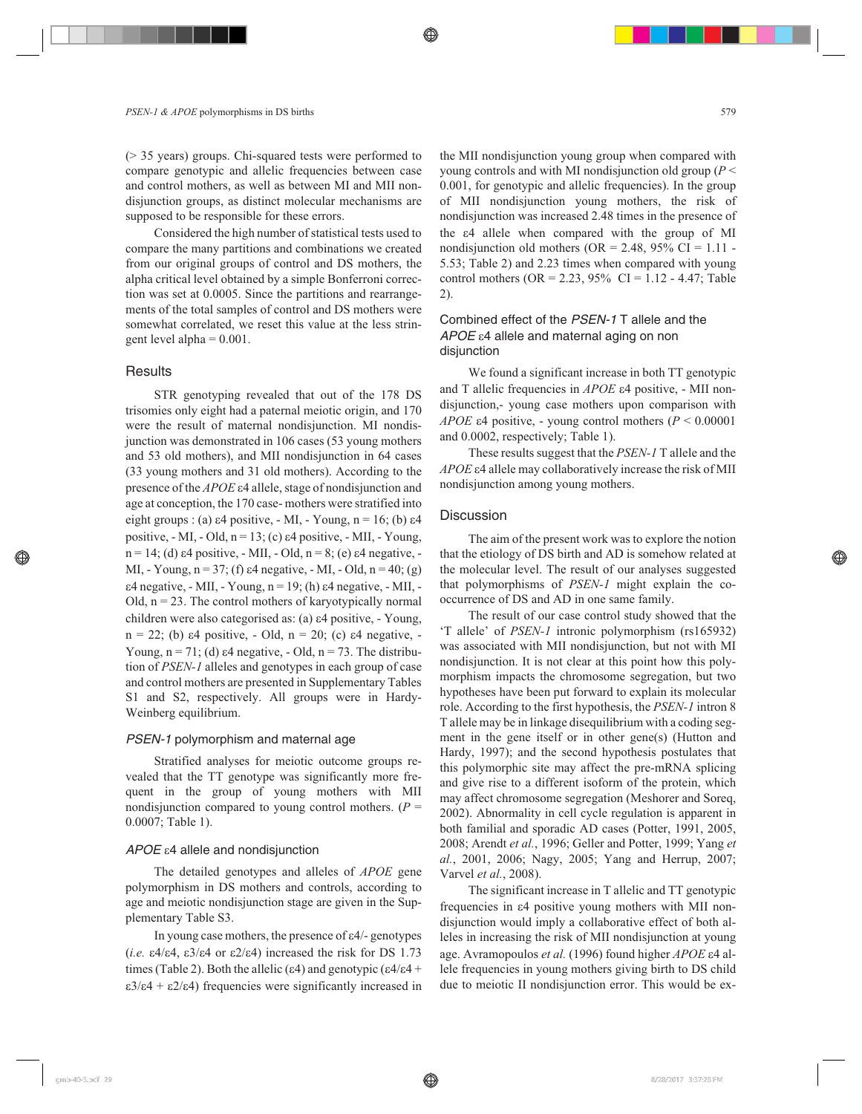(> 35 years) groups. Chi-squared tests were performed to compare genotypic and allelic frequencies between case and control mothers, as well as between MI and MII nondisjunction groups, as distinct molecular mechanisms are supposed to be responsible for these errors.

Considered the high number of statistical tests used to compare the many partitions and combinations we created from our original groups of control and DS mothers, the alpha critical level obtained by a simple Bonferroni correction was set at 0.0005. Since the partitions and rearrangements of the total samples of control and DS mothers were somewhat correlated, we reset this value at the less stringent level alpha = 0.001.

#### **Results**

STR genotyping revealed that out of the 178 DS trisomies only eight had a paternal meiotic origin, and 170 were the result of maternal nondisjunction. MI nondisjunction was demonstrated in 106 cases (53 young mothers and 53 old mothers), and MII nondisjunction in 64 cases (33 young mothers and 31 old mothers). According to the presence of the *APOE*  $\varepsilon$ 4 allele, stage of nondisjunction and age at conception, the 170 case- mothers were stratified into eight groups : (a)  $\varepsilon$ 4 positive, - MI, - Young, n = 16; (b)  $\varepsilon$ 4 positive,  $-MI$ ,  $-$  Old,  $n = 13$ ; (c)  $\varepsilon$ 4 positive,  $-MII$ ,  $-$  Young,  $n = 14$ ; (d)  $\varepsilon$ 4 positive, - MII, - Old,  $n = 8$ ; (e)  $\varepsilon$ 4 negative, -MI, - Young,  $n = 37$ ; (f)  $\varepsilon$ 4 negative, - MI, - Old,  $n = 40$ ; (g)  $\varepsilon$ 4 negative, - MII, - Young, n = 19; (h)  $\varepsilon$ 4 negative, - MII, -Old,  $n = 23$ . The control mothers of karyotypically normal children were also categorised as: (a)  $\varepsilon$ 4 positive, - Young,  $n = 22$ ; (b)  $\varepsilon 4$  positive, - Old,  $n = 20$ ; (c)  $\varepsilon 4$  negative, -Young,  $n = 71$ ; (d)  $\varepsilon$ 4 negative, - Old,  $n = 73$ . The distribution of *PSEN-1* alleles and genotypes in each group of case and control mothers are presented in Supplementary Tables S1 and S2, respectively. All groups were in Hardy-Weinberg equilibrium.

# PSEN-1 polymorphism and maternal age

Stratified analyses for meiotic outcome groups revealed that the TT genotype was significantly more frequent in the group of young mothers with MII nondisjunction compared to young control mothers.  $(P =$ 0.0007; Table 1).

# $APOE$   $\varepsilon$ 4 allele and nondisjunction

The detailed genotypes and alleles of *APOE* gene polymorphism in DS mothers and controls, according to age and meiotic nondisjunction stage are given in the Supplementary Table S3.

In young case mothers, the presence of  $\varepsilon$ 4/- genotypes  $(i.e. \epsilon 4/\epsilon 4, \epsilon 3/\epsilon 4 \text{ or } \epsilon 2/\epsilon 4)$  increased the risk for DS 1.73 times (Table 2). Both the allelic ( $\varepsilon$ 4) and genotypic ( $\varepsilon$ 4/ $\varepsilon$ 4 +  $\epsilon 3/\epsilon 4 + \epsilon 2/\epsilon 4$ ) frequencies were significantly increased in the MII nondisjunction young group when compared with young controls and with MI nondisjunction old group (*P* < 0.001, for genotypic and allelic frequencies). In the group of MII nondisjunction young mothers, the risk of nondisjunction was increased 2.48 times in the presence of the  $\varepsilon$ 4 allele when compared with the group of MI nondisjunction old mothers (OR = 2.48, 95% CI =  $1.11$ ) 5.53; Table 2) and 2.23 times when compared with young control mothers ( $OR = 2.23$ ,  $95\%$  CI = 1.12 - 4.47; Table 2).

# Combined effect of the PSEN-1 T allele and the  $APOE$   $\varepsilon$ 4 allele and maternal aging on non disjunction

We found a significant increase in both TT genotypic and T allelic frequencies in *APOE*  $\varepsilon$ 4 positive, - MII nondisjunction,- young case mothers upon comparison with *APOE*  $\varepsilon$ 4 positive, - young control mothers ( $P < 0.00001$ and 0.0002, respectively; Table 1).

These results suggest that the *PSEN-1* T allele and the APOE  $\varepsilon$ 4 allele may collaboratively increase the risk of MII nondisjunction among young mothers.

## **Discussion**

The aim of the present work was to explore the notion that the etiology of DS birth and AD is somehow related at the molecular level. The result of our analyses suggested that polymorphisms of *PSEN-1* might explain the cooccurrence of DS and AD in one same family.

The result of our case control study showed that the 'T allele' of *PSEN-1* intronic polymorphism (rs165932) was associated with MII nondisjunction, but not with MI nondisjunction. It is not clear at this point how this polymorphism impacts the chromosome segregation, but two hypotheses have been put forward to explain its molecular role. According to the first hypothesis, the *PSEN-1* intron 8 T allele may be in linkage disequilibrium with a coding segment in the gene itself or in other gene(s) (Hutton and Hardy, 1997); and the second hypothesis postulates that this polymorphic site may affect the pre-mRNA splicing and give rise to a different isoform of the protein, which may affect chromosome segregation (Meshorer and Soreq, 2002). Abnormality in cell cycle regulation is apparent in both familial and sporadic AD cases (Potter, 1991, 2005, 2008; Arendt *et al.*, 1996; Geller and Potter, 1999; Yang *et al.*, 2001, 2006; Nagy, 2005; Yang and Herrup, 2007; Varvel *et al.*, 2008).

The significant increase in T allelic and TT genotypic frequencies in  $\varepsilon$ 4 positive young mothers with MII nondisjunction would imply a collaborative effect of both alleles in increasing the risk of MII nondisjunction at young age. Avramopoulos et al. (1996) found higher APOE  $\varepsilon$ 4 allele frequencies in young mothers giving birth to DS child due to meiotic II nondisjunction error. This would be ex-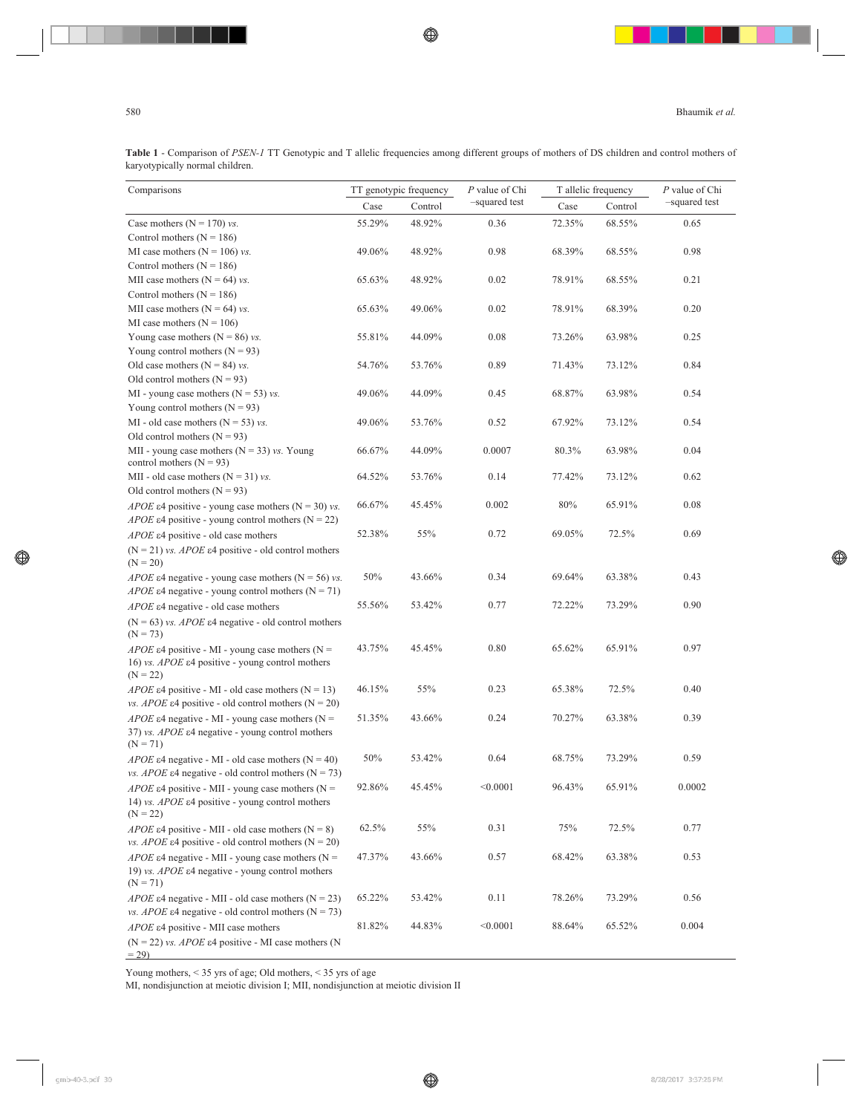**Table 1** - Comparison of *PSEN-1* TT Genotypic and T allelic frequencies among different groups of mothers of DS children and control mothers of karyotypically normal children.

| Comparisons                                                                                                                                          | TT genotypic frequency<br>Case<br>Control |        | P value of Chi | T allelic frequency |        | P value of Chi<br>-squared test |  |
|------------------------------------------------------------------------------------------------------------------------------------------------------|-------------------------------------------|--------|----------------|---------------------|--------|---------------------------------|--|
|                                                                                                                                                      |                                           |        | -squared test  | Case<br>Control     |        |                                 |  |
| Case mothers ( $N = 170$ ) vs.                                                                                                                       | 55.29%                                    | 48.92% | 0.36           | 72.35%              | 68.55% | 0.65                            |  |
| Control mothers ( $N = 186$ )                                                                                                                        |                                           |        |                |                     |        |                                 |  |
| MI case mothers ( $N = 106$ ) vs.                                                                                                                    | 49.06%                                    | 48.92% | 0.98           | 68.39%              | 68.55% | 0.98                            |  |
| Control mothers $(N = 186)$                                                                                                                          |                                           |        |                |                     |        |                                 |  |
| MII case mothers ( $N = 64$ ) vs.                                                                                                                    | 65.63%                                    | 48.92% | 0.02           | 78.91%              | 68.55% | 0.21                            |  |
| Control mothers ( $N = 186$ )                                                                                                                        |                                           |        |                |                     |        |                                 |  |
| MII case mothers ( $N = 64$ ) vs.                                                                                                                    | 65.63%                                    | 49.06% | 0.02           | 78.91%              | 68.39% | 0.20                            |  |
| MI case mothers $(N = 106)$                                                                                                                          |                                           |        |                |                     |        |                                 |  |
| Young case mothers ( $N = 86$ ) vs.                                                                                                                  | 55.81%                                    | 44.09% | 0.08           | 73.26%              | 63.98% | 0.25                            |  |
| Young control mothers $(N = 93)$                                                                                                                     |                                           |        |                |                     |        |                                 |  |
| Old case mothers ( $N = 84$ ) vs.                                                                                                                    | 54.76%                                    | 53.76% | 0.89           | 71.43%              | 73.12% | 0.84                            |  |
| Old control mothers $(N = 93)$                                                                                                                       |                                           |        |                |                     |        |                                 |  |
| MI - young case mothers ( $N = 53$ ) vs.                                                                                                             | 49.06%                                    | 44.09% | 0.45           | 68.87%              | 63.98% | 0.54                            |  |
| Young control mothers $(N = 93)$                                                                                                                     |                                           |        |                |                     |        |                                 |  |
| MI - old case mothers ( $N = 53$ ) vs.                                                                                                               | 49.06%                                    | 53.76% | 0.52           | 67.92%              | 73.12% | 0.54                            |  |
| Old control mothers $(N = 93)$                                                                                                                       |                                           |        |                |                     |        |                                 |  |
| MII - young case mothers ( $N = 33$ ) vs. Young<br>control mothers $(N = 93)$                                                                        | 66.67%                                    | 44.09% | 0.0007         | 80.3%               | 63.98% | 0.04                            |  |
| MII - old case mothers ( $N = 31$ ) vs.                                                                                                              | 64.52%                                    | 53.76% | 0.14           | 77.42%              | 73.12% | 0.62                            |  |
| Old control mothers $(N = 93)$                                                                                                                       |                                           |        |                |                     |        |                                 |  |
| <i>APOE</i> $\varepsilon$ 4 positive - young case mothers (N = 30) <i>vs</i> .<br><i>APOE</i> $\epsilon$ 4 positive - young control mothers (N = 22) | 66.67%                                    | 45.45% | 0.002          | 80%                 | 65.91% | 0.08                            |  |
| APOE $\varepsilon$ 4 positive - old case mothers                                                                                                     | 52.38%                                    | 55%    | 0.72           | 69.05%              | 72.5%  | 0.69                            |  |
| $(N = 21)$ vs. <i>APOE</i> $\epsilon$ 4 positive - old control mothers<br>$(N = 20)$                                                                 |                                           |        |                |                     |        |                                 |  |
| <i>APOE</i> $\varepsilon$ 4 negative - young case mothers (N = 56) vs.<br><i>APOE</i> $\epsilon$ 4 negative - young control mothers (N = 71)         | 50%                                       | 43.66% | 0.34           | 69.64%              | 63.38% | 0.43                            |  |
| <i>APOE</i> $\varepsilon$ 4 negative - old case mothers                                                                                              | 55.56%                                    | 53.42% | 0.77           | 72.22%              | 73.29% | 0.90                            |  |
|                                                                                                                                                      |                                           |        |                |                     |        |                                 |  |
| ( $N = 63$ ) vs. <i>APOE</i> $\epsilon$ 4 negative - old control mothers<br>$(N = 73)$                                                               |                                           |        |                |                     |        |                                 |  |
| <i>APOE</i> $\epsilon$ 4 positive - MI - young case mothers (N =                                                                                     | 43.75%                                    | 45.45% | 0.80           | 65.62%              | 65.91% | 0.97                            |  |
| 16) vs. $APOE$ $\varepsilon$ 4 positive - young control mothers<br>$(N = 22)$                                                                        |                                           |        |                |                     |        |                                 |  |
| <i>APOE</i> $\varepsilon$ 4 positive - MI - old case mothers (N = 13)<br>vs. APOE $\varepsilon$ 4 positive - old control mothers (N = 20)            | 46.15%                                    | 55%    | 0.23           | 65.38%              | 72.5%  | 0.40                            |  |
| <i>APOE</i> $\epsilon$ 4 negative - MI - young case mothers (N =                                                                                     | 51.35%                                    | 43.66% | 0.24           | 70.27%              | 63.38% | 0.39                            |  |
| 37) vs. APOE $\varepsilon$ 4 negative - young control mothers<br>$(N = 71)$                                                                          |                                           |        |                |                     |        |                                 |  |
| <i>APOE</i> $\varepsilon$ 4 negative - MI - old case mothers (N = 40)                                                                                | $50\%$                                    | 53.42% | 0.64           | 68.75%              | 73.29% | 0.59                            |  |
| <i>vs. APOE</i> $\epsilon$ 4 negative - old control mothers (N = 73)                                                                                 |                                           |        |                |                     |        |                                 |  |
| <i>APOE</i> $\epsilon$ 4 positive - MII - young case mothers (N =<br>14) <i>vs. APOE</i> ε4 positive - young control mothers<br>$(N = 22)$           | 92.86%                                    | 45.45% | < 0.0001       | 96.43%              | 65.91% | 0.0002                          |  |
| <i>APOE</i> $\varepsilon$ 4 positive - MII - old case mothers (N = 8)                                                                                | 62.5%                                     | 55%    | 0.31           | 75%                 | 72.5%  | 0.77                            |  |
| <i>vs. APOE</i> $\varepsilon$ 4 positive - old control mothers (N = 20)                                                                              |                                           |        |                |                     |        |                                 |  |
| <i>APOE</i> $\varepsilon$ 4 negative - MII - young case mothers (N =                                                                                 | 47.37%                                    | 43.66% | 0.57           | 68.42%              | 63.38% | 0.53                            |  |
| 19) vs. $APOE$ $\varepsilon$ 4 negative - young control mothers<br>$(N = 71)$                                                                        |                                           |        |                |                     |        |                                 |  |
| <i>APOE</i> $\epsilon$ 4 negative - MII - old case mothers (N = 23)<br><i>vs. APOE</i> $\epsilon$ 4 negative - old control mothers (N = 73)          | 65.22%                                    | 53.42% | 0.11           | 78.26%              | 73.29% | 0.56                            |  |
| APOE $\varepsilon$ 4 positive - MII case mothers                                                                                                     | 81.82%                                    | 44.83% | < 0.0001       | 88.64%              | 65.52% | 0.004                           |  |
| $(N = 22)$ vs. <i>APOE</i> ε4 positive - MI case mothers (N<br>$= 29$                                                                                |                                           |        |                |                     |        |                                 |  |

Young mothers, < 35 yrs of age; Old mothers, < 35 yrs of age

MI, nondisjunction at meiotic division I; MII, nondisjunction at meiotic division II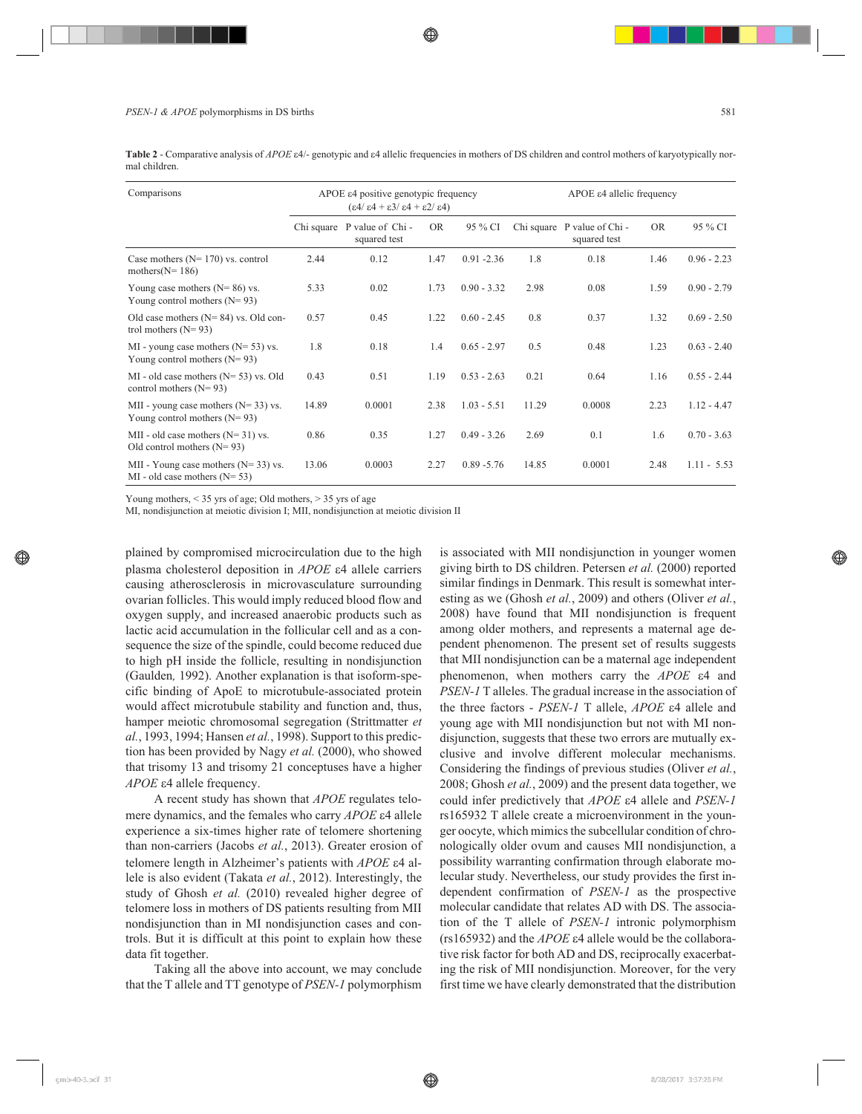Table 2 - Comparative analysis of *APOE*  $\varepsilon$ 4/- genotypic and  $\varepsilon$ 4 allelic frequencies in mothers of DS children and control mothers of karyotypically normal children.

| Comparisons                                                                  | APOE ε4 positive genotypic frequency<br>$(\epsilon 4/\epsilon 4 + \epsilon 3/\epsilon 4 + \epsilon 2/\epsilon 4)$ |                                             |      |               | APOE ε4 allelic frequency |                                             |           |               |
|------------------------------------------------------------------------------|-------------------------------------------------------------------------------------------------------------------|---------------------------------------------|------|---------------|---------------------------|---------------------------------------------|-----------|---------------|
|                                                                              |                                                                                                                   | Chi square P value of Chi -<br>squared test | OR.  | 95 % CI       |                           | Chi square P value of Chi -<br>squared test | <b>OR</b> | 95 % CI       |
| Case mothers ( $N = 170$ ) vs. control<br>mothers $(N = 186)$                | 2.44                                                                                                              | 0.12                                        | 1.47 | $0.91 - 2.36$ | 1.8                       | 0.18                                        | 1.46      | $0.96 - 2.23$ |
| Young case mothers $(N=86)$ vs.<br>Young control mothers $(N=93)$            | 5.33                                                                                                              | 0.02                                        | 1.73 | $0.90 - 3.32$ | 2.98                      | 0.08                                        | 1.59      | $0.90 - 2.79$ |
| Old case mothers $(N=84)$ vs. Old con-<br>trol mothers $(N=93)$              | 0.57                                                                                                              | 0.45                                        | 1.22 | $0.60 - 2.45$ | 0.8                       | 0.37                                        | 1.32      | $0.69 - 2.50$ |
| $MI$ - young case mothers ( $N = 53$ ) vs.<br>Young control mothers $(N=93)$ | 1.8                                                                                                               | 0.18                                        | 1.4  | $0.65 - 2.97$ | 0.5                       | 0.48                                        | 1.23      | $0.63 - 2.40$ |
| MI - old case mothers $(N=53)$ vs. Old<br>control mothers $(N=93)$           | 0.43                                                                                                              | 0.51                                        | 1.19 | $0.53 - 2.63$ | 0.21                      | 0.64                                        | 1.16      | $0.55 - 2.44$ |
| MII - young case mothers $(N=33)$ vs.<br>Young control mothers $(N=93)$      | 14.89                                                                                                             | 0.0001                                      | 2.38 | $1.03 - 5.51$ | 11.29                     | 0.0008                                      | 2.23      | $1.12 - 4.47$ |
| MII - old case mothers $(N=31)$ vs.<br>Old control mothers $(N=93)$          | 0.86                                                                                                              | 0.35                                        | 1.27 | $0.49 - 3.26$ | 2.69                      | 0.1                                         | 1.6       | $0.70 - 3.63$ |
| MII - Young case mothers ( $N = 33$ ) vs.<br>MI - old case mothers $(N=53)$  | 13.06                                                                                                             | 0.0003                                      | 2.27 | $0.89 - 5.76$ | 14.85                     | 0.0001                                      | 2.48      | $1.11 - 5.53$ |

Young mothers,  $<$  35 yrs of age; Old mothers,  $>$  35 yrs of age

MI, nondisjunction at meiotic division I; MII, nondisjunction at meiotic division II

plained by compromised microcirculation due to the high plasma cholesterol deposition in *APOE*  $\epsilon$ 4 allele carriers causing atherosclerosis in microvasculature surrounding ovarian follicles. This would imply reduced blood flow and oxygen supply, and increased anaerobic products such as lactic acid accumulation in the follicular cell and as a consequence the size of the spindle, could become reduced due to high pH inside the follicle, resulting in nondisjunction (Gaulden*,* 1992). Another explanation is that isoform-specific binding of ApoE to microtubule-associated protein would affect microtubule stability and function and, thus, hamper meiotic chromosomal segregation (Strittmatter *et al.*, 1993, 1994; Hansen *et al.*, 1998). Support to this prediction has been provided by Nagy *et al.* (2000), who showed that trisomy 13 and trisomy 21 conceptuses have a higher APOE  $\varepsilon$ 4 allele frequency.

A recent study has shown that *APOE* regulates telomere dynamics, and the females who carry *APOE*  $\epsilon$ 4 allele experience a six-times higher rate of telomere shortening than non-carriers (Jacobs *et al.*, 2013). Greater erosion of telomere length in Alzheimer's patients with *APOE* ε4 allele is also evident (Takata *et al.*, 2012). Interestingly, the study of Ghosh *et al.* (2010) revealed higher degree of telomere loss in mothers of DS patients resulting from MII nondisjunction than in MI nondisjunction cases and controls. But it is difficult at this point to explain how these data fit together.

Taking all the above into account, we may conclude that the T allele and TT genotype of *PSEN-1* polymorphism

is associated with MII nondisjunction in younger women giving birth to DS children. Petersen *et al.* (2000) reported similar findings in Denmark. This result is somewhat interesting as we (Ghosh *et al.*, 2009) and others (Oliver *et al.*, 2008) have found that MII nondisjunction is frequent among older mothers, and represents a maternal age dependent phenomenon. The present set of results suggests that MII nondisjunction can be a maternal age independent phenomenon, when mothers carry the *APOE*  $\varepsilon$ 4 and *PSEN-1* T alleles. The gradual increase in the association of the three factors - *PSEN-1* T allele, *APOE*  $\epsilon$ 4 allele and young age with MII nondisjunction but not with MI nondisjunction, suggests that these two errors are mutually exclusive and involve different molecular mechanisms. Considering the findings of previous studies (Oliver *et al.*, 2008; Ghosh *et al.*, 2009) and the present data together, we could infer predictively that *APOE*  $\epsilon$ 4 allele and *PSEN-1* rs165932 T allele create a microenvironment in the younger oocyte, which mimics the subcellular condition of chronologically older ovum and causes MII nondisjunction, a possibility warranting confirmation through elaborate molecular study. Nevertheless, our study provides the first independent confirmation of *PSEN-1* as the prospective molecular candidate that relates AD with DS. The association of the T allele of *PSEN-1* intronic polymorphism  $(rs165932)$  and the  $APOE$   $\varepsilon4$  allele would be the collaborative risk factor for both AD and DS, reciprocally exacerbating the risk of MII nondisjunction. Moreover, for the very first time we have clearly demonstrated that the distribution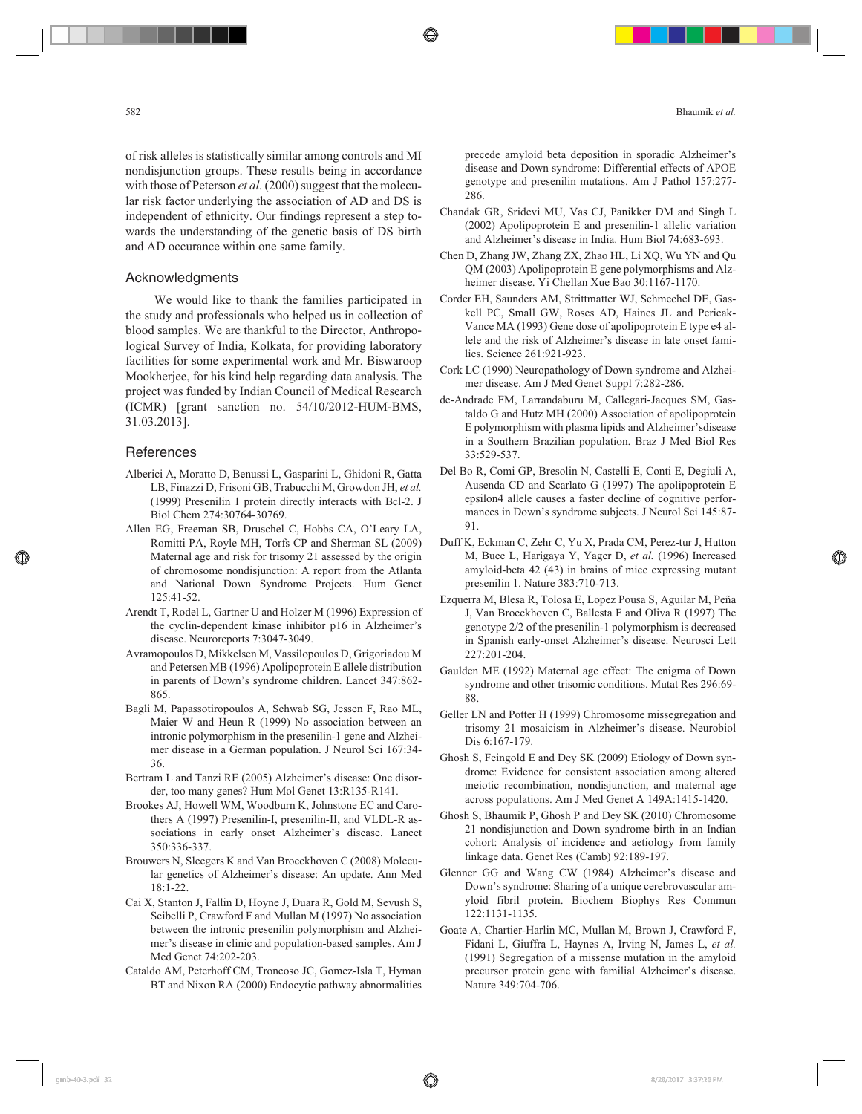of risk alleles is statistically similar among controls and MI nondisjunction groups. These results being in accordance with those of Peterson *et al.* (2000) suggest that the molecular risk factor underlying the association of AD and DS is independent of ethnicity. Our findings represent a step towards the understanding of the genetic basis of DS birth and AD occurance within one same family.

# Acknowledgments

We would like to thank the families participated in the study and professionals who helped us in collection of blood samples. We are thankful to the Director, Anthropological Survey of India, Kolkata, for providing laboratory facilities for some experimental work and Mr. Biswaroop Mookherjee, for his kind help regarding data analysis. The project was funded by Indian Council of Medical Research (ICMR) [grant sanction no. 54/10/2012-HUM-BMS, 31.03.2013].

## **References**

- Alberici A, Moratto D, Benussi L, Gasparini L, Ghidoni R, Gatta LB, Finazzi D, Frisoni GB, Trabucchi M, Growdon JH, *et al.* (1999) Presenilin 1 protein directly interacts with Bcl-2. J Biol Chem 274:30764-30769.
- Allen EG, Freeman SB, Druschel C, Hobbs CA, O'Leary LA, Romitti PA, Royle MH, Torfs CP and Sherman SL (2009) Maternal age and risk for trisomy 21 assessed by the origin of chromosome nondisjunction: A report from the Atlanta and National Down Syndrome Projects. Hum Genet 125:41-52.
- Arendt T, Rodel L, Gartner U and Holzer M (1996) Expression of the cyclin-dependent kinase inhibitor p16 in Alzheimer's disease. Neuroreports 7:3047-3049.
- Avramopoulos D, Mikkelsen M, Vassilopoulos D, Grigoriadou M and Petersen MB (1996) Apolipoprotein E allele distribution in parents of Down's syndrome children. Lancet 347:862- 865.
- Bagli M, Papassotiropoulos A, Schwab SG, Jessen F, Rao ML, Maier W and Heun R (1999) No association between an intronic polymorphism in the presenilin-1 gene and Alzheimer disease in a German population. J Neurol Sci 167:34- 36.
- Bertram L and Tanzi RE (2005) Alzheimer's disease: One disorder, too many genes? Hum Mol Genet 13:R135-R141.
- Brookes AJ, Howell WM, Woodburn K, Johnstone EC and Carothers A (1997) Presenilin-I, presenilin-II, and VLDL-R associations in early onset Alzheimer's disease. Lancet 350:336-337.
- Brouwers N, Sleegers K and Van Broeckhoven C (2008) Molecular genetics of Alzheimer's disease: An update. Ann Med 18:1-22.
- Cai X, Stanton J, Fallin D, Hoyne J, Duara R, Gold M, Sevush S, Scibelli P, Crawford F and Mullan M (1997) No association between the intronic presenilin polymorphism and Alzheimer's disease in clinic and population-based samples. Am J Med Genet 74:202-203.
- Cataldo AM, Peterhoff CM, Troncoso JC, Gomez-Isla T, Hyman BT and Nixon RA (2000) Endocytic pathway abnormalities

precede amyloid beta deposition in sporadic Alzheimer's disease and Down syndrome: Differential effects of APOE genotype and presenilin mutations. Am J Pathol 157:277- 286.

- Chandak GR, Sridevi MU, Vas CJ, Panikker DM and Singh L (2002) Apolipoprotein E and presenilin-1 allelic variation and Alzheimer's disease in India. Hum Biol 74:683-693.
- Chen D, Zhang JW, Zhang ZX, Zhao HL, Li XQ, Wu YN and Qu QM (2003) Apolipoprotein E gene polymorphisms and Alzheimer disease. Yi Chellan Xue Bao 30:1167-1170.
- Corder EH, Saunders AM, Strittmatter WJ, Schmechel DE, Gaskell PC, Small GW, Roses AD, Haines JL and Pericak-Vance MA (1993) Gene dose of apolipoprotein E type e4 allele and the risk of Alzheimer's disease in late onset families. Science 261:921-923.
- Cork LC (1990) Neuropathology of Down syndrome and Alzheimer disease. Am J Med Genet Suppl 7:282-286.
- de-Andrade FM, Larrandaburu M, Callegari-Jacques SM, Gastaldo G and Hutz MH (2000) Association of apolipoprotein E polymorphism with plasma lipids and Alzheimer'sdisease in a Southern Brazilian population. Braz J Med Biol Res 33:529-537.
- Del Bo R, Comi GP, Bresolin N, Castelli E, Conti E, Degiuli A, Ausenda CD and Scarlato G (1997) The apolipoprotein E epsilon4 allele causes a faster decline of cognitive performances in Down's syndrome subjects. J Neurol Sci 145:87- 91.
- Duff K, Eckman C, Zehr C, Yu X, Prada CM, Perez-tur J, Hutton M, Buee L, Harigaya Y, Yager D, *et al.* (1996) Increased amyloid-beta 42 (43) in brains of mice expressing mutant presenilin 1. Nature 383:710-713.
- Ezquerra M, Blesa R, Tolosa E, Lopez Pousa S, Aguilar M, Peña J, Van Broeckhoven C, Ballesta F and Oliva R (1997) The genotype 2/2 of the presenilin-1 polymorphism is decreased in Spanish early-onset Alzheimer's disease. Neurosci Lett 227:201-204.
- Gaulden ME (1992) Maternal age effect: The enigma of Down syndrome and other trisomic conditions. Mutat Res 296:69- 88.
- Geller LN and Potter H (1999) Chromosome missegregation and trisomy 21 mosaicism in Alzheimer's disease. Neurobiol Dis 6:167-179.
- Ghosh S, Feingold E and Dey SK (2009) Etiology of Down syndrome: Evidence for consistent association among altered meiotic recombination, nondisjunction, and maternal age across populations. Am J Med Genet A 149A:1415-1420.
- Ghosh S, Bhaumik P, Ghosh P and Dey SK (2010) Chromosome 21 nondisjunction and Down syndrome birth in an Indian cohort: Analysis of incidence and aetiology from family linkage data. Genet Res (Camb) 92:189-197.
- Glenner GG and Wang CW (1984) Alzheimer's disease and Down's syndrome: Sharing of a unique cerebrovascular amyloid fibril protein. Biochem Biophys Res Commun 122:1131-1135.
- Goate A, Chartier-Harlin MC, Mullan M, Brown J, Crawford F, Fidani L, Giuffra L, Haynes A, Irving N, James L, *et al.* (1991) Segregation of a missense mutation in the amyloid precursor protein gene with familial Alzheimer's disease. Nature 349:704-706.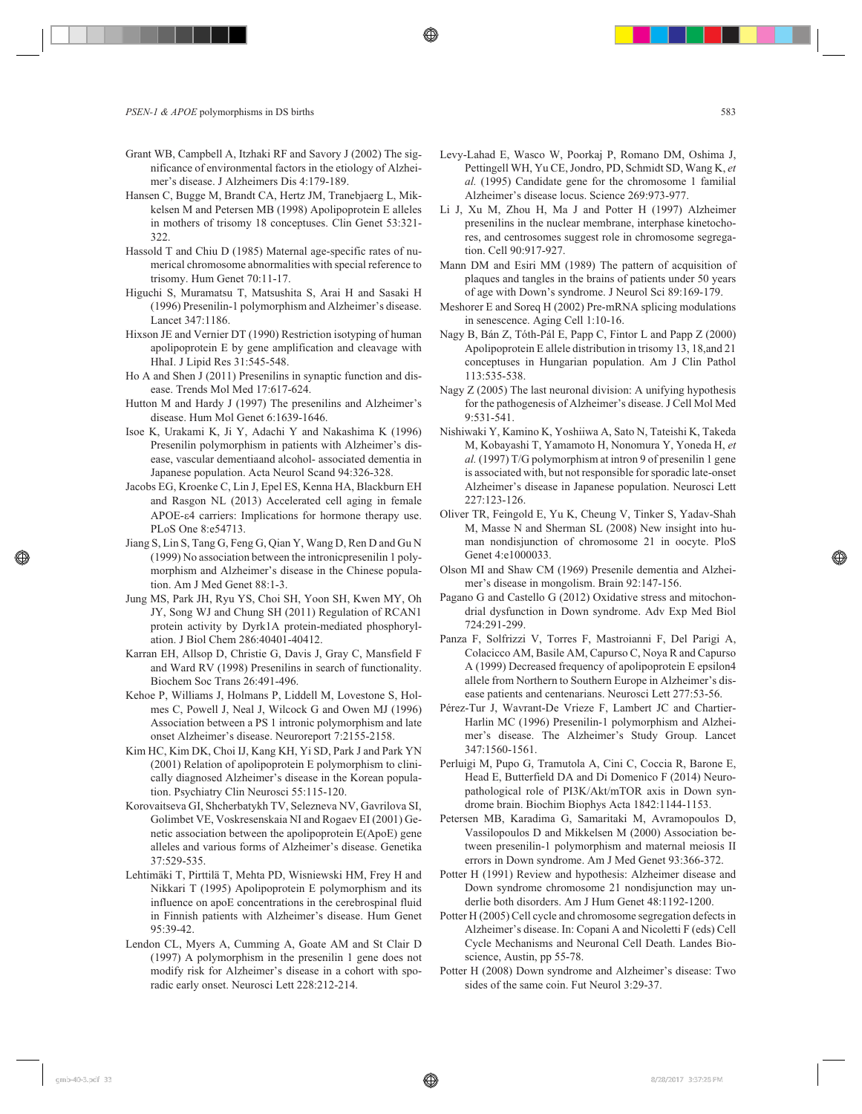- Grant WB, Campbell A, Itzhaki RF and Savory J (2002) The significance of environmental factors in the etiology of Alzheimer's disease. J Alzheimers Dis 4:179-189.
- Hansen C, Bugge M, Brandt CA, Hertz JM, Tranebjaerg L, Mikkelsen M and Petersen MB (1998) Apolipoprotein E alleles in mothers of trisomy 18 conceptuses. Clin Genet 53:321- 322.
- Hassold T and Chiu D (1985) Maternal age-specific rates of numerical chromosome abnormalities with special reference to trisomy. Hum Genet 70:11-17.
- Higuchi S, Muramatsu T, Matsushita S, Arai H and Sasaki H (1996) Presenilin-1 polymorphism and Alzheimer's disease. Lancet 347:1186.
- Hixson JE and Vernier DT (1990) Restriction isotyping of human apolipoprotein E by gene amplification and cleavage with HhaI. J Lipid Res 31:545-548.
- Ho A and Shen J (2011) Presenilins in synaptic function and disease. Trends Mol Med 17:617-624.
- Hutton M and Hardy J (1997) The presenilins and Alzheimer's disease. Hum Mol Genet 6:1639-1646.
- Isoe K, Urakami K, Ji Y, Adachi Y and Nakashima K (1996) Presenilin polymorphism in patients with Alzheimer's disease, vascular dementiaand alcohol- associated dementia in Japanese population. Acta Neurol Scand 94:326-328.
- Jacobs EG, Kroenke C, Lin J, Epel ES, Kenna HA, Blackburn EH and Rasgon NL (2013) Accelerated cell aging in female APOE- $\varepsilon$ 4 carriers: Implications for hormone therapy use. PLoS One 8:e54713.
- Jiang S, Lin S, Tang G, Feng G, Qian Y, Wang D, Ren D and Gu N (1999) No association between the intronicpresenilin 1 polymorphism and Alzheimer's disease in the Chinese population. Am J Med Genet 88:1-3.
- Jung MS, Park JH, Ryu YS, Choi SH, Yoon SH, Kwen MY, Oh JY, Song WJ and Chung SH (2011) Regulation of RCAN1 protein activity by Dyrk1A protein-mediated phosphorylation. J Biol Chem 286:40401-40412.
- Karran EH, Allsop D, Christie G, Davis J, Gray C, Mansfield F and Ward RV (1998) Presenilins in search of functionality. Biochem Soc Trans 26:491-496.
- Kehoe P, Williams J, Holmans P, Liddell M, Lovestone S, Holmes C, Powell J, Neal J, Wilcock G and Owen MJ (1996) Association between a PS 1 intronic polymorphism and late onset Alzheimer's disease. Neuroreport 7:2155-2158.
- Kim HC, Kim DK, Choi IJ, Kang KH, Yi SD, Park J and Park YN (2001) Relation of apolipoprotein E polymorphism to clinically diagnosed Alzheimer's disease in the Korean population. Psychiatry Clin Neurosci 55:115-120.
- Korovaitseva GI, Shcherbatykh TV, Selezneva NV, Gavrilova SI, Golimbet VE, Voskresenskaia NI and Rogaev EI (2001) Genetic association between the apolipoprotein E(ApoE) gene alleles and various forms of Alzheimer's disease. Genetika 37:529-535.
- Lehtimäki T, Pirttilä T, Mehta PD, Wisniewski HM, Frey H and Nikkari T (1995) Apolipoprotein E polymorphism and its influence on apoE concentrations in the cerebrospinal fluid in Finnish patients with Alzheimer's disease. Hum Genet 95:39-42.
- Lendon CL, Myers A, Cumming A, Goate AM and St Clair D (1997) A polymorphism in the presenilin 1 gene does not modify risk for Alzheimer's disease in a cohort with sporadic early onset. Neurosci Lett 228:212-214.
- Levy-Lahad E, Wasco W, Poorkaj P, Romano DM, Oshima J, Pettingell WH, Yu CE, Jondro, PD, Schmidt SD, Wang K, *et al.* (1995) Candidate gene for the chromosome 1 familial Alzheimer's disease locus. Science 269:973-977.
- Li J, Xu M, Zhou H, Ma J and Potter H (1997) Alzheimer presenilins in the nuclear membrane, interphase kinetochores, and centrosomes suggest role in chromosome segregation. Cell 90:917-927.
- Mann DM and Esiri MM (1989) The pattern of acquisition of plaques and tangles in the brains of patients under 50 years of age with Down's syndrome. J Neurol Sci 89:169-179.
- Meshorer E and Soreq H (2002) Pre-mRNA splicing modulations in senescence. Aging Cell 1:10-16.
- Nagy B, Bán Z, Tóth-Pál E, Papp C, Fintor L and Papp Z (2000) Apolipoprotein E allele distribution in trisomy 13, 18,and 21 conceptuses in Hungarian population. Am J Clin Pathol 113:535-538.
- Nagy Z (2005) The last neuronal division: A unifying hypothesis for the pathogenesis of Alzheimer's disease. J Cell Mol Med 9:531-541.
- Nishiwaki Y, Kamino K, Yoshiiwa A, Sato N, Tateishi K, Takeda M, Kobayashi T, Yamamoto H, Nonomura Y, Yoneda H, *et al.* (1997) T/G polymorphism at intron 9 of presenilin 1 gene is associated with, but not responsible for sporadic late-onset Alzheimer's disease in Japanese population. Neurosci Lett 227:123-126.
- Oliver TR, Feingold E, Yu K, Cheung V, Tinker S, Yadav-Shah M, Masse N and Sherman SL (2008) New insight into human nondisjunction of chromosome 21 in oocyte. PloS Genet 4:e1000033.
- Olson MI and Shaw CM (1969) Presenile dementia and Alzheimer's disease in mongolism. Brain 92:147-156.
- Pagano G and Castello G (2012) Oxidative stress and mitochondrial dysfunction in Down syndrome. Adv Exp Med Biol 724:291-299.
- Panza F, Solfrizzi V, Torres F, Mastroianni F, Del Parigi A, Colacicco AM, Basile AM, Capurso C, Noya R and Capurso A (1999) Decreased frequency of apolipoprotein E epsilon4 allele from Northern to Southern Europe in Alzheimer's disease patients and centenarians. Neurosci Lett 277:53-56.
- Pérez-Tur J, Wavrant-De Vrieze F, Lambert JC and Chartier-Harlin MC (1996) Presenilin-1 polymorphism and Alzheimer's disease. The Alzheimer's Study Group. Lancet 347:1560-1561.
- Perluigi M, Pupo G, Tramutola A, Cini C, Coccia R, Barone E, Head E, Butterfield DA and Di Domenico F (2014) Neuropathological role of PI3K/Akt/mTOR axis in Down syndrome brain. Biochim Biophys Acta 1842:1144-1153.
- Petersen MB, Karadima G, Samaritaki M, Avramopoulos D, Vassilopoulos D and Mikkelsen M (2000) Association between presenilin-1 polymorphism and maternal meiosis II errors in Down syndrome. Am J Med Genet 93:366-372.
- Potter H (1991) Review and hypothesis: Alzheimer disease and Down syndrome chromosome 21 nondisjunction may underlie both disorders. Am J Hum Genet 48:1192-1200.
- Potter H (2005) Cell cycle and chromosome segregation defects in Alzheimer's disease. In: Copani A and Nicoletti F (eds) Cell Cycle Mechanisms and Neuronal Cell Death. Landes Bioscience, Austin, pp 55-78.
- Potter H (2008) Down syndrome and Alzheimer's disease: Two sides of the same coin. Fut Neurol 3:29-37.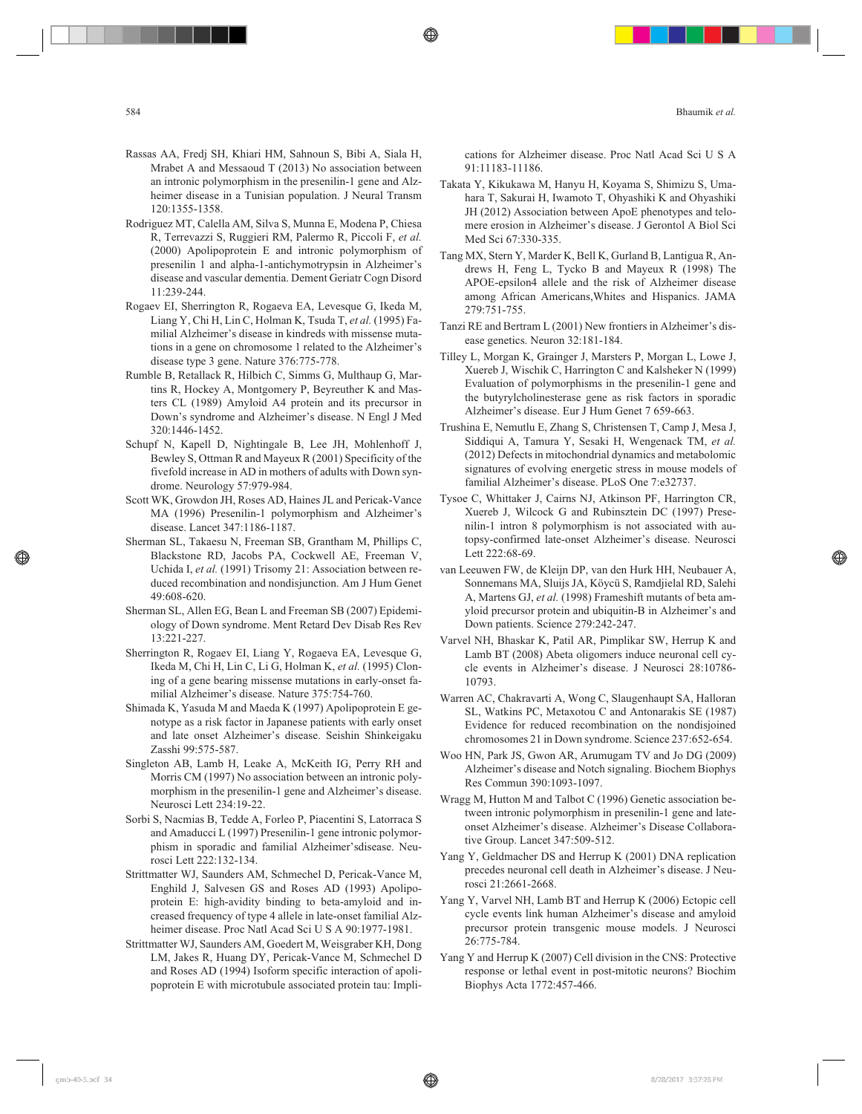- Rassas AA, Fredj SH, Khiari HM, Sahnoun S, Bibi A, Siala H, Mrabet A and Messaoud T (2013) No association between an intronic polymorphism in the presenilin-1 gene and Alzheimer disease in a Tunisian population. J Neural Transm 120:1355-1358.
- Rodriguez MT, Calella AM, Silva S, Munna E, Modena P, Chiesa R, Terrevazzi S, Ruggieri RM, Palermo R, Piccoli F, *et al.* (2000) Apolipoprotein E and intronic polymorphism of presenilin 1 and alpha-1-antichymotrypsin in Alzheimer's disease and vascular dementia. Dement Geriatr Cogn Disord 11:239-244.
- Rogaev EI, Sherrington R, Rogaeva EA, Levesque G, Ikeda M, Liang Y, Chi H, Lin C, Holman K, Tsuda T, *et al.* (1995) Familial Alzheimer's disease in kindreds with missense mutations in a gene on chromosome 1 related to the Alzheimer's disease type 3 gene. Nature 376:775-778.
- Rumble B, Retallack R, Hilbich C, Simms G, Multhaup G, Martins R, Hockey A, Montgomery P, Beyreuther K and Masters CL (1989) Amyloid A4 protein and its precursor in Down's syndrome and Alzheimer's disease. N Engl J Med 320:1446-1452.
- Schupf N, Kapell D, Nightingale B, Lee JH, Mohlenhoff J, Bewley S, Ottman R and Mayeux R (2001) Specificity of the fivefold increase in AD in mothers of adults with Down syndrome. Neurology 57:979-984.
- Scott WK, Growdon JH, Roses AD, Haines JL and Pericak-Vance MA (1996) Presenilin-1 polymorphism and Alzheimer's disease. Lancet 347:1186-1187.
- Sherman SL, Takaesu N, Freeman SB, Grantham M, Phillips C, Blackstone RD, Jacobs PA, Cockwell AE, Freeman V, Uchida I, *et al.* (1991) Trisomy 21: Association between reduced recombination and nondisjunction. Am J Hum Genet 49:608-620.
- Sherman SL, Allen EG, Bean L and Freeman SB (2007) Epidemiology of Down syndrome. Ment Retard Dev Disab Res Rev 13:221-227.
- Sherrington R, Rogaev EI, Liang Y, Rogaeva EA, Levesque G, Ikeda M, Chi H, Lin C, Li G, Holman K, *et al.* (1995) Cloning of a gene bearing missense mutations in early-onset familial Alzheimer's disease. Nature 375:754-760.
- Shimada K, Yasuda M and Maeda K (1997) Apolipoprotein E genotype as a risk factor in Japanese patients with early onset and late onset Alzheimer's disease. Seishin Shinkeigaku Zasshi 99:575-587.
- Singleton AB, Lamb H, Leake A, McKeith IG, Perry RH and Morris CM (1997) No association between an intronic polymorphism in the presenilin-1 gene and Alzheimer's disease. Neurosci Lett 234:19-22.
- Sorbi S, Nacmias B, Tedde A, Forleo P, Piacentini S, Latorraca S and Amaducci L (1997) Presenilin-1 gene intronic polymorphism in sporadic and familial Alzheimer'sdisease. Neurosci Lett 222:132-134.
- Strittmatter WJ, Saunders AM, Schmechel D, Pericak-Vance M, Enghild J, Salvesen GS and Roses AD (1993) Apolipoprotein E: high-avidity binding to beta-amyloid and increased frequency of type 4 allele in late-onset familial Alzheimer disease. Proc Natl Acad Sci U S A 90:1977-1981.
- Strittmatter WJ, Saunders AM, Goedert M, Weisgraber KH, Dong LM, Jakes R, Huang DY, Pericak-Vance M, Schmechel D and Roses AD (1994) Isoform specific interaction of apolipoprotein E with microtubule associated protein tau: Impli-

cations for Alzheimer disease. Proc Natl Acad Sci U S A 91:11183-11186.

- Takata Y, Kikukawa M, Hanyu H, Koyama S, Shimizu S, Umahara T, Sakurai H, Iwamoto T, Ohyashiki K and Ohyashiki JH (2012) Association between ApoE phenotypes and telomere erosion in Alzheimer's disease. J Gerontol A Biol Sci Med Sci 67:330-335.
- Tang MX, Stern Y, Marder K, Bell K, Gurland B, Lantigua R, Andrews H, Feng L, Tycko B and Mayeux R (1998) The APOE-epsilon4 allele and the risk of Alzheimer disease among African Americans,Whites and Hispanics. JAMA 279:751-755.
- Tanzi RE and Bertram L (2001) New frontiers in Alzheimer's disease genetics. Neuron 32:181-184.
- Tilley L, Morgan K, Grainger J, Marsters P, Morgan L, Lowe J, Xuereb J, Wischik C, Harrington C and Kalsheker N (1999) Evaluation of polymorphisms in the presenilin-1 gene and the butyrylcholinesterase gene as risk factors in sporadic Alzheimer's disease. Eur J Hum Genet 7 659-663.
- Trushina E, Nemutlu E, Zhang S, Christensen T, Camp J, Mesa J, Siddiqui A, Tamura Y, Sesaki H, Wengenack TM, *et al.* (2012) Defects in mitochondrial dynamics and metabolomic signatures of evolving energetic stress in mouse models of familial Alzheimer's disease. PLoS One 7:e32737.
- Tysoe C, Whittaker J, Cairns NJ, Atkinson PF, Harrington CR, Xuereb J, Wilcock G and Rubinsztein DC (1997) Presenilin-1 intron 8 polymorphism is not associated with autopsy-confirmed late-onset Alzheimer's disease. Neurosci Lett 222:68-69.
- van Leeuwen FW, de Kleijn DP, van den Hurk HH, Neubauer A, Sonnemans MA, Sluijs JA, Köycü S, Ramdjielal RD, Salehi A, Martens GJ, *et al.* (1998) Frameshift mutants of beta amyloid precursor protein and ubiquitin-B in Alzheimer's and Down patients. Science 279:242-247.
- Varvel NH, Bhaskar K, Patil AR, Pimplikar SW, Herrup K and Lamb BT (2008) Abeta oligomers induce neuronal cell cycle events in Alzheimer's disease. J Neurosci 28:10786- 10793.
- Warren AC, Chakravarti A, Wong C, Slaugenhaupt SA, Halloran SL, Watkins PC, Metaxotou C and Antonarakis SE (1987) Evidence for reduced recombination on the nondisjoined chromosomes 21 in Down syndrome. Science 237:652-654.
- Woo HN, Park JS, Gwon AR, Arumugam TV and Jo DG (2009) Alzheimer's disease and Notch signaling. Biochem Biophys Res Commun 390:1093-1097.
- Wragg M, Hutton M and Talbot C (1996) Genetic association between intronic polymorphism in presenilin-1 gene and lateonset Alzheimer's disease. Alzheimer's Disease Collaborative Group. Lancet 347:509-512.
- Yang Y, Geldmacher DS and Herrup K (2001) DNA replication precedes neuronal cell death in Alzheimer's disease. J Neurosci 21:2661-2668.
- Yang Y, Varvel NH, Lamb BT and Herrup K (2006) Ectopic cell cycle events link human Alzheimer's disease and amyloid precursor protein transgenic mouse models. J Neurosci 26:775-784.
- Yang Y and Herrup K (2007) Cell division in the CNS: Protective response or lethal event in post-mitotic neurons? Biochim Biophys Acta 1772:457-466.